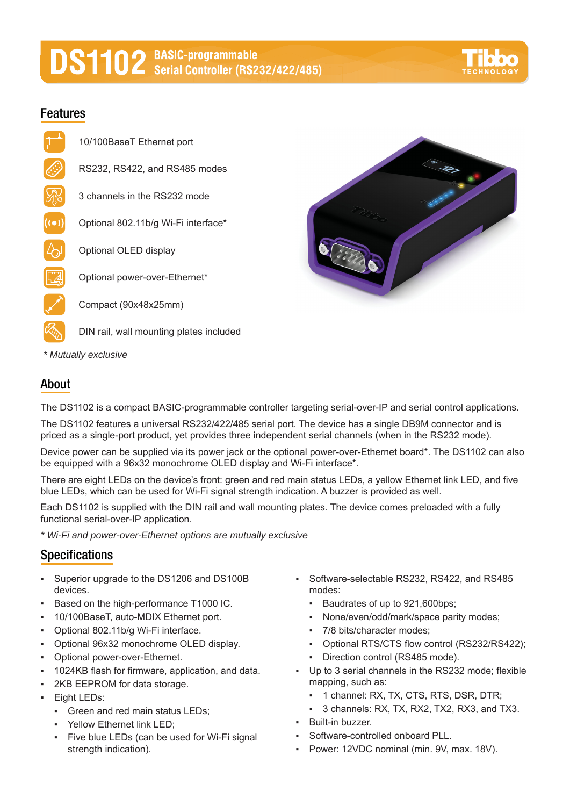# **DS1102** BASIC-programmable<br>
Strial Controller (RS232/422/485)



### **Features**

- 10/100BaseT Ethernet port
- RS232, RS422, and RS485 modes
- 3 channels in the RS232 mode
- $((\bullet))$ Optional 802.11b/g Wi-Fi interface\*
	- Optional OLED display
	- Optional power-over-Ethernet\*

Compact (90x48x25mm)

- DIN rail, wall mounting plates included
- *\* Mutually exclusive*

## **About**

The DS1102 is a compact BASIC-programmable controller targeting serial-over-IP and serial control applications.

The DS1102 features a universal RS232/422/485 serial port. The device has a single DB9M connector and is priced as a single-port product, yet provides three independent serial channels (when in the RS232 mode).

Device power can be supplied via its power jack or the optional power-over-Ethernet board\*. The DS1102 can also be equipped with a 96x32 monochrome OLED display and Wi-Fi interface\*.

There are eight LEDs on the device's front: green and red main status LEDs, a yellow Ethernet link LED, and five blue LEDs, which can be used for Wi-Fi signal strength indication. A buzzer is provided as well.

Each DS1102 is supplied with the DIN rail and wall mounting plates. The device comes preloaded with a fully functional serial-over-IP application.

*\* Wi-Fi and power-over-Ethernet options are mutually exclusive*

#### **Specifications**

- Superior upgrade to the DS1206 and DS100B devices.
- Based on the high-performance T1000 IC.
- 10/100BaseT, auto-MDIX Ethernet port.
- Optional 802.11b/g Wi-Fi interface.
- Optional 96x32 monochrome OLED display.
- Optional power-over-Ethernet.
- 1024KB flash for firmware, application, and data.
- 2KB EEPROM for data storage.
- **Eight LEDs:** 
	- Green and red main status LEDs;
	- Yellow Ethernet link LED;
	- Five blue LEDs (can be used for Wi-Fi signal strength indication).
- Software-selectable RS232, RS422, and RS485 modes:
	- Baudrates of up to 921,600bps;
	- None/even/odd/mark/space parity modes;
	- 7/8 bits/character modes;
	- Optional RTS/CTS flow control (RS232/RS422);
	- Direction control (RS485 mode).
- Up to 3 serial channels in the RS232 mode; flexible mapping, such as:
	- 1 channel: RX, TX, CTS, RTS, DSR, DTR;
	- 3 channels: RX, TX, RX2, TX2, RX3, and TX3.
- Built-in buzzer.
- Software-controlled onboard PLL.
- Power: 12VDC nominal (min. 9V, max. 18V).